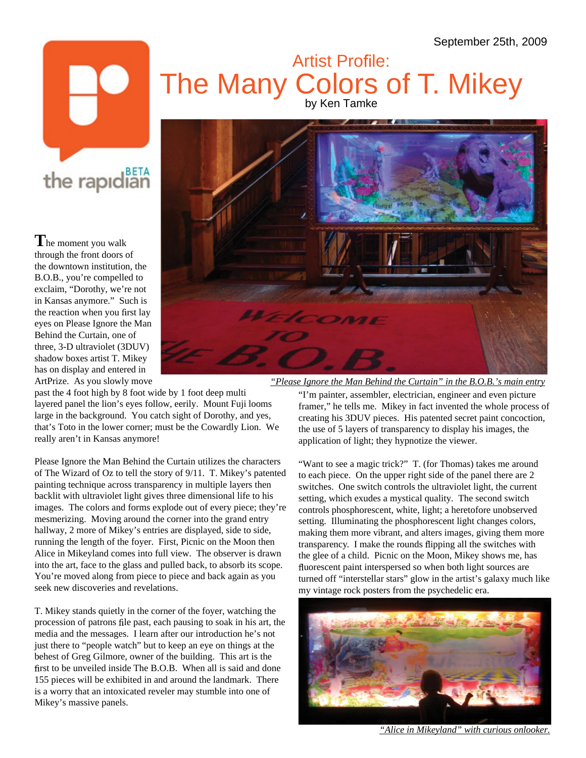## Artist Profile: Artist Artist Artist Artist Artist Artist Artist Artist Artist Artist Artist Artist Artist Artist The Many Colors of T. Mikey

## the rapidian

**T**he moment you walk through the front doors of the downtown institution, the B.O.B., you're compelled to exclaim, "Dorothy, we're not in Kansas anymore." Such is eyes on Please Ignore the Man Behind the Curtain, one of three, 3-D ultraviolet (3DUV) shadow boxes artist T. Mikey has on display and entered in



past the 4 foot high by 8 foot wide by 1 foot deep multi "I'm painter, assembler, electrician, engineer and even picture that's Toto in the lower corner; must be the Cowardly Lion. We

Please Ignore the Man Behind the Curtain utilizes the characters of The Wizard of Oz to tell the story of 9/11. T. Mikey's patented painting technique across transparency in multiple layers then backlit with ultraviolet light gives three dimensional life to his images. The colors and forms explode out of every piece; they're mesmerizing. Moving around the corner into the grand entry setting. Illuminating the phosphorescent light changes colors, hallway, 2 more of Mikey's entries are displayed, side to side, making them more vibrant, and alters images, giving them more running the length of the foyer. First, Picnic on the Moon then Alice in Mikeyland comes into full view. The observer is drawn into the art, face to the glass and pulled back, to absorb its scope. You're moved along from piece to piece and back again as you turned off "interstellar stars" glow in the artist's galaxy much like

T. Mikey stands quietly in the corner of the foyer, watching the procession of patrons file past, each pausing to soak in his art, the media and the messages. I learn after our introduction he's not just there to "people watch" but to keep an eye on things at the behest of Greg Gilmore, owner of the building. This art is the first to be unveiled inside The B.O.B. When all is said and done 155 pieces will be exhibited in and around the landmark. There is a worry that an intoxicated reveler may stumble into one of Mikey's massive panels.

ArtPrize. As you slowly move *"Please Ignore the Man Behind the Curtain" in the B.O.B.'s main entry*

layered panel the lion's eyes follow, eerily. Mount Fuji looms framer," he tells me. Mikey in fact invented the whole process of large in the background. You catch sight of Dorothy, and yes, creating his 3DUV pieces. His patented secret paint concoction, really aren't in Kansas anymore! application of light; they hypnotize the viewer. the use of 5 layers of transparency to display his images, the

seek new discoveries and revelations. my vintage rock posters from the psychedelic era. "Want to see a magic trick?" T. (for Thomas) takes me around to each piece. On the upper right side of the panel there are 2 switches. One switch controls the ultraviolet light, the current setting, which exudes a mystical quality. The second switch controls phosphorescent, white, light; a heretofore unobserved transparency. I make the rounds flipping all the switches with the glee of a child. Picnic on the Moon, Mikey shows me, has fluorescent paint interspersed so when both light sources are



*"Alice in Mikeyland" with curious onlooker.*